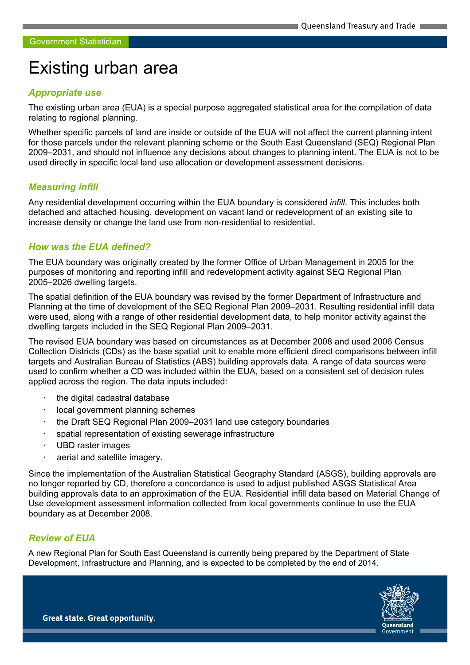# Existing urban area

#### Appropriate use

The existing urban area (EUA) is a special purpose aggregated statistical area for the compilation of data relating to regional planning.

Whether specific parcels of land are inside or outside of the EUA will not affect the current planning intent for those parcels under the relevant planning scheme or the South East Queensland (SEQ) Regional Plan 2009–2031, and should not influence any decisions about changes to planning intent. The EUA is not to be used directly in specific local land use allocation or development assessment decisions.

#### Measuring infill

Any residential development occurring within the EUA boundary is considered *infill*. This includes both detached and attached housing, development on vacant land or redevelopment of an existing site to increase density or change the land use from non-residential to residential.

### How was the EUA defined?

The EUA boundary was originally created by the former Office of Urban Management in 2005 for the purposes of monitoring and reporting infill and redevelopment activity against SEQ Regional Plan 2005–2026 dwelling targets.

The spatial definition of the EUA boundary was revised by the former Department of Infrastructure and Planning at the time of development of the SEQ Regional Plan 2009–2031. Resulting residential infill data were used, along with a range of other residential development data, to help monitor activity against the dwelling targets included in the SEQ Regional Plan 2009–2031.

The revised EUA boundary was based on circumstances as at December 2008 and used 2006 Census Collection Districts (CDs) as the base spatial unit to enable more efficient direct comparisons between infill targets and Australian Bureau of Statistics (ABS) building approvals data. A range of data sources were used to confirm whether a CD was included within the EUA, based on a consistent set of decision rules applied across the region. The data inputs included:

- the digital cadastral database
- local government planning schemes
- the Draft SEQ Regional Plan 2009–2031 land use category boundaries
- spatial representation of existing sewerage infrastructure
- UBD raster images
- aerial and satellite imagery.

Since the implementation of the Australian Statistical Geography Standard (ASGS), building approvals are no longer reported by CD, therefore a concordance is used to adjust published ASGS Statistical Area building approvals data to an approximation of the EUA. Residential infill data based on Material Change of Use development assessment information collected from local governments continue to use the EUA boundary as at December 2008.

## Review of EUA

i

A new Regional Plan for South East Queensland is currently being prepared by the Department of State Development, Infrastructure and Planning, and is expected to be completed by the end of 2014.



**Great state. Great opportunity.**